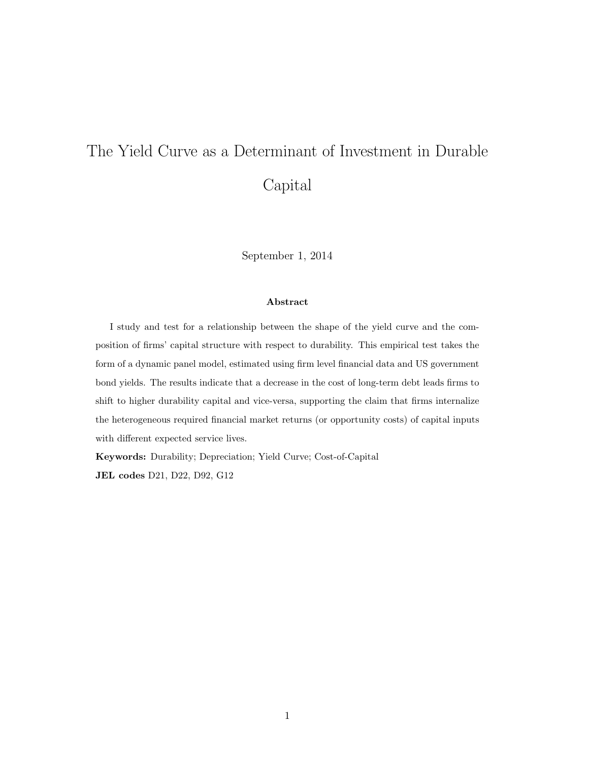# The Yield Curve as a Determinant of Investment in Durable Capital

September 1, 2014

#### Abstract

I study and test for a relationship between the shape of the yield curve and the composition of firms' capital structure with respect to durability. This empirical test takes the form of a dynamic panel model, estimated using firm level financial data and US government bond yields. The results indicate that a decrease in the cost of long-term debt leads firms to shift to higher durability capital and vice-versa, supporting the claim that firms internalize the heterogeneous required financial market returns (or opportunity costs) of capital inputs with different expected service lives.

Keywords: Durability; Depreciation; Yield Curve; Cost-of-Capital

JEL codes D21, D22, D92, G12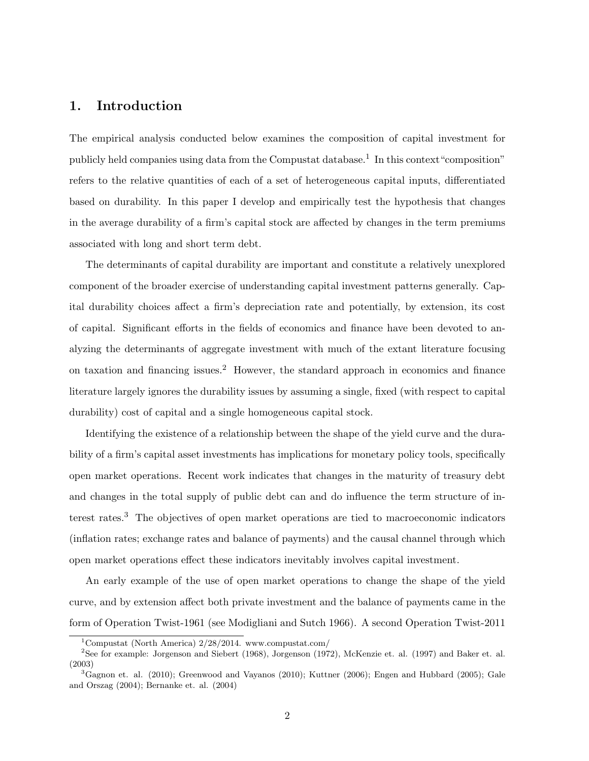#### 1. Introduction

The empirical analysis conducted below examines the composition of capital investment for publicly held companies using data from the Compustat database.<sup>1</sup> In this context "composition" refers to the relative quantities of each of a set of heterogeneous capital inputs, differentiated based on durability. In this paper I develop and empirically test the hypothesis that changes in the average durability of a firm's capital stock are affected by changes in the term premiums associated with long and short term debt.

The determinants of capital durability are important and constitute a relatively unexplored component of the broader exercise of understanding capital investment patterns generally. Capital durability choices affect a firm's depreciation rate and potentially, by extension, its cost of capital. Significant efforts in the fields of economics and finance have been devoted to analyzing the determinants of aggregate investment with much of the extant literature focusing on taxation and financing issues.<sup>2</sup> However, the standard approach in economics and finance literature largely ignores the durability issues by assuming a single, fixed (with respect to capital durability) cost of capital and a single homogeneous capital stock.

Identifying the existence of a relationship between the shape of the yield curve and the durability of a firm's capital asset investments has implications for monetary policy tools, specifically open market operations. Recent work indicates that changes in the maturity of treasury debt and changes in the total supply of public debt can and do influence the term structure of interest rates.<sup>3</sup> The objectives of open market operations are tied to macroeconomic indicators (inflation rates; exchange rates and balance of payments) and the causal channel through which open market operations effect these indicators inevitably involves capital investment.

An early example of the use of open market operations to change the shape of the yield curve, and by extension affect both private investment and the balance of payments came in the form of Operation Twist-1961 (see Modigliani and Sutch 1966). A second Operation Twist-2011

<sup>&</sup>lt;sup>1</sup>Compustat (North America)  $2/28/2014$ . www.compustat.com/

<sup>2</sup>See for example: Jorgenson and Siebert (1968), Jorgenson (1972), McKenzie et. al. (1997) and Baker et. al. (2003)

<sup>&</sup>lt;sup>3</sup>Gagnon et. al. (2010); Greenwood and Vayanos (2010); Kuttner (2006); Engen and Hubbard (2005); Gale and Orszag (2004); Bernanke et. al. (2004)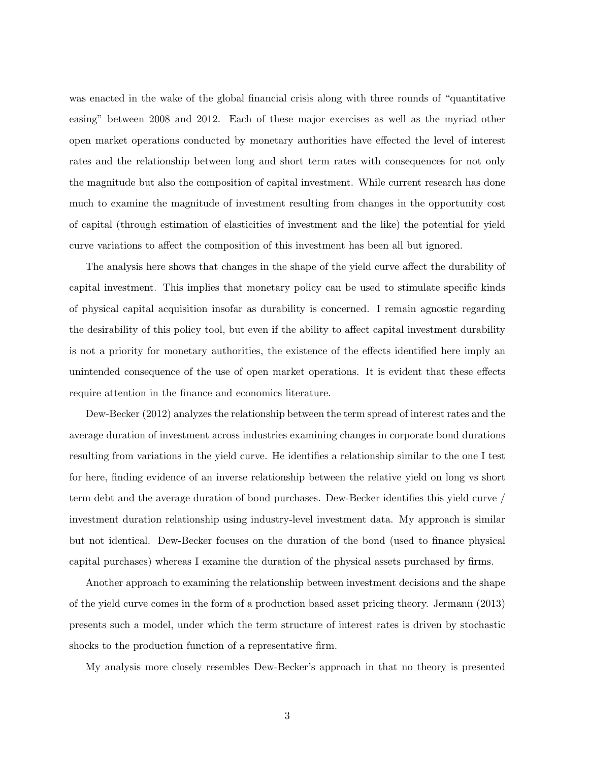was enacted in the wake of the global financial crisis along with three rounds of "quantitative easing" between 2008 and 2012. Each of these major exercises as well as the myriad other open market operations conducted by monetary authorities have effected the level of interest rates and the relationship between long and short term rates with consequences for not only the magnitude but also the composition of capital investment. While current research has done much to examine the magnitude of investment resulting from changes in the opportunity cost of capital (through estimation of elasticities of investment and the like) the potential for yield curve variations to affect the composition of this investment has been all but ignored.

The analysis here shows that changes in the shape of the yield curve affect the durability of capital investment. This implies that monetary policy can be used to stimulate specific kinds of physical capital acquisition insofar as durability is concerned. I remain agnostic regarding the desirability of this policy tool, but even if the ability to affect capital investment durability is not a priority for monetary authorities, the existence of the effects identified here imply an unintended consequence of the use of open market operations. It is evident that these effects require attention in the finance and economics literature.

Dew-Becker (2012) analyzes the relationship between the term spread of interest rates and the average duration of investment across industries examining changes in corporate bond durations resulting from variations in the yield curve. He identifies a relationship similar to the one I test for here, finding evidence of an inverse relationship between the relative yield on long vs short term debt and the average duration of bond purchases. Dew-Becker identifies this yield curve / investment duration relationship using industry-level investment data. My approach is similar but not identical. Dew-Becker focuses on the duration of the bond (used to finance physical capital purchases) whereas I examine the duration of the physical assets purchased by firms.

Another approach to examining the relationship between investment decisions and the shape of the yield curve comes in the form of a production based asset pricing theory. Jermann (2013) presents such a model, under which the term structure of interest rates is driven by stochastic shocks to the production function of a representative firm.

My analysis more closely resembles Dew-Becker's approach in that no theory is presented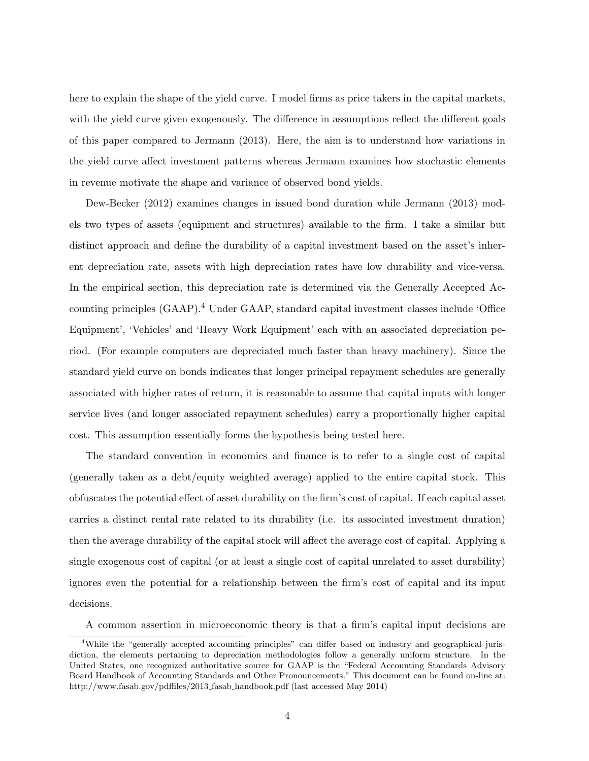here to explain the shape of the yield curve. I model firms as price takers in the capital markets, with the yield curve given exogenously. The difference in assumptions reflect the different goals of this paper compared to Jermann (2013). Here, the aim is to understand how variations in the yield curve affect investment patterns whereas Jermann examines how stochastic elements in revenue motivate the shape and variance of observed bond yields.

Dew-Becker (2012) examines changes in issued bond duration while Jermann (2013) models two types of assets (equipment and structures) available to the firm. I take a similar but distinct approach and define the durability of a capital investment based on the asset's inherent depreciation rate, assets with high depreciation rates have low durability and vice-versa. In the empirical section, this depreciation rate is determined via the Generally Accepted Accounting principles (GAAP).<sup>4</sup> Under GAAP, standard capital investment classes include 'Office Equipment', 'Vehicles' and 'Heavy Work Equipment' each with an associated depreciation period. (For example computers are depreciated much faster than heavy machinery). Since the standard yield curve on bonds indicates that longer principal repayment schedules are generally associated with higher rates of return, it is reasonable to assume that capital inputs with longer service lives (and longer associated repayment schedules) carry a proportionally higher capital cost. This assumption essentially forms the hypothesis being tested here.

The standard convention in economics and finance is to refer to a single cost of capital (generally taken as a debt/equity weighted average) applied to the entire capital stock. This obfuscates the potential effect of asset durability on the firm's cost of capital. If each capital asset carries a distinct rental rate related to its durability (i.e. its associated investment duration) then the average durability of the capital stock will affect the average cost of capital. Applying a single exogenous cost of capital (or at least a single cost of capital unrelated to asset durability) ignores even the potential for a relationship between the firm's cost of capital and its input decisions.

A common assertion in microeconomic theory is that a firm's capital input decisions are

<sup>&</sup>lt;sup>4</sup>While the "generally accepted accounting principles" can differ based on industry and geographical jurisdiction, the elements pertaining to depreciation methodologies follow a generally uniform structure. In the United States, one recognized authoritative source for GAAP is the "Federal Accounting Standards Advisory Board Handbook of Accounting Standards and Other Pronouncements." This document can be found on-line at: http://www.fasab.gov/pdffiles/2013 fasab handbook.pdf (last accessed May 2014)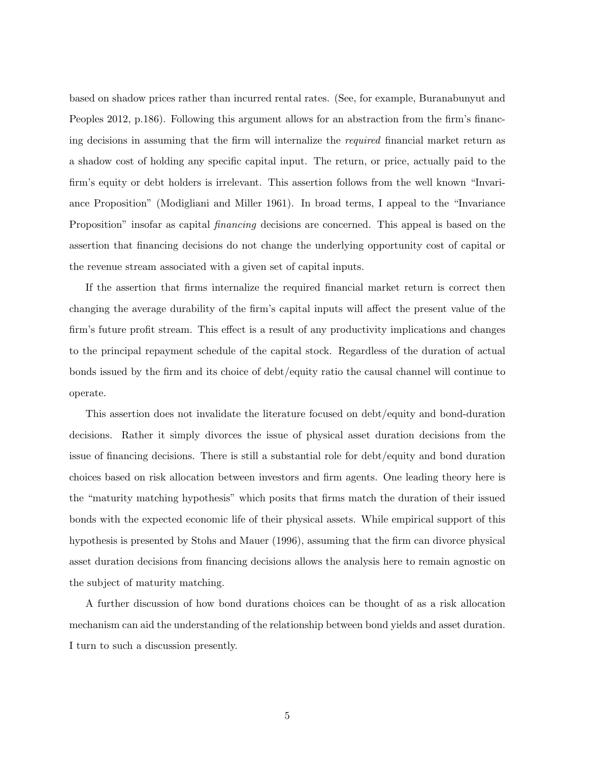based on shadow prices rather than incurred rental rates. (See, for example, Buranabunyut and Peoples 2012, p.186). Following this argument allows for an abstraction from the firm's financing decisions in assuming that the firm will internalize the required financial market return as a shadow cost of holding any specific capital input. The return, or price, actually paid to the firm's equity or debt holders is irrelevant. This assertion follows from the well known "Invariance Proposition" (Modigliani and Miller 1961). In broad terms, I appeal to the "Invariance Proposition" insofar as capital *financing* decisions are concerned. This appeal is based on the assertion that financing decisions do not change the underlying opportunity cost of capital or the revenue stream associated with a given set of capital inputs.

If the assertion that firms internalize the required financial market return is correct then changing the average durability of the firm's capital inputs will affect the present value of the firm's future profit stream. This effect is a result of any productivity implications and changes to the principal repayment schedule of the capital stock. Regardless of the duration of actual bonds issued by the firm and its choice of debt/equity ratio the causal channel will continue to operate.

This assertion does not invalidate the literature focused on debt/equity and bond-duration decisions. Rather it simply divorces the issue of physical asset duration decisions from the issue of financing decisions. There is still a substantial role for debt/equity and bond duration choices based on risk allocation between investors and firm agents. One leading theory here is the "maturity matching hypothesis" which posits that firms match the duration of their issued bonds with the expected economic life of their physical assets. While empirical support of this hypothesis is presented by Stohs and Mauer (1996), assuming that the firm can divorce physical asset duration decisions from financing decisions allows the analysis here to remain agnostic on the subject of maturity matching.

A further discussion of how bond durations choices can be thought of as a risk allocation mechanism can aid the understanding of the relationship between bond yields and asset duration. I turn to such a discussion presently.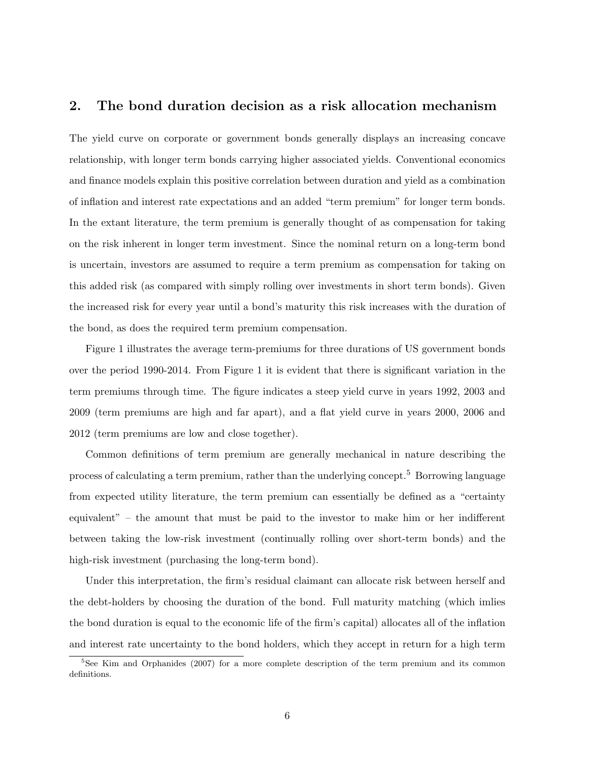#### 2. The bond duration decision as a risk allocation mechanism

The yield curve on corporate or government bonds generally displays an increasing concave relationship, with longer term bonds carrying higher associated yields. Conventional economics and finance models explain this positive correlation between duration and yield as a combination of inflation and interest rate expectations and an added "term premium" for longer term bonds. In the extant literature, the term premium is generally thought of as compensation for taking on the risk inherent in longer term investment. Since the nominal return on a long-term bond is uncertain, investors are assumed to require a term premium as compensation for taking on this added risk (as compared with simply rolling over investments in short term bonds). Given the increased risk for every year until a bond's maturity this risk increases with the duration of the bond, as does the required term premium compensation.

Figure 1 illustrates the average term-premiums for three durations of US government bonds over the period 1990-2014. From Figure 1 it is evident that there is significant variation in the term premiums through time. The figure indicates a steep yield curve in years 1992, 2003 and 2009 (term premiums are high and far apart), and a flat yield curve in years 2000, 2006 and 2012 (term premiums are low and close together).

Common definitions of term premium are generally mechanical in nature describing the process of calculating a term premium, rather than the underlying concept.<sup>5</sup> Borrowing language from expected utility literature, the term premium can essentially be defined as a "certainty equivalent" – the amount that must be paid to the investor to make him or her indifferent between taking the low-risk investment (continually rolling over short-term bonds) and the high-risk investment (purchasing the long-term bond).

Under this interpretation, the firm's residual claimant can allocate risk between herself and the debt-holders by choosing the duration of the bond. Full maturity matching (which imlies the bond duration is equal to the economic life of the firm's capital) allocates all of the inflation and interest rate uncertainty to the bond holders, which they accept in return for a high term

<sup>&</sup>lt;sup>5</sup>See Kim and Orphanides (2007) for a more complete description of the term premium and its common definitions.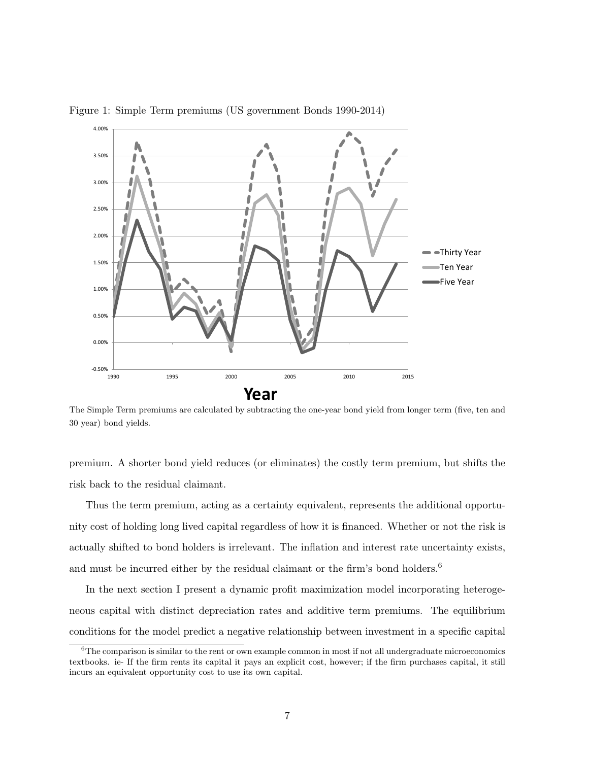

Figure 1: Simple Term premiums (US government Bonds 1990-2014)

The Simple Term premiums are calculated by subtracting the one-year bond yield from longer term (five, ten and 30 year) bond yields.

premium. A shorter bond yield reduces (or eliminates) the costly term premium, but shifts the risk back to the residual claimant.

Thus the term premium, acting as a certainty equivalent, represents the additional opportunity cost of holding long lived capital regardless of how it is financed. Whether or not the risk is actually shifted to bond holders is irrelevant. The inflation and interest rate uncertainty exists, and must be incurred either by the residual claimant or the firm's bond holders.<sup>6</sup>

In the next section I present a dynamic profit maximization model incorporating heterogeneous capital with distinct depreciation rates and additive term premiums. The equilibrium conditions for the model predict a negative relationship between investment in a specific capital

<sup>&</sup>lt;sup>6</sup>The comparison is similar to the rent or own example common in most if not all undergraduate microeconomics textbooks. ie- If the firm rents its capital it pays an explicit cost, however; if the firm purchases capital, it still incurs an equivalent opportunity cost to use its own capital.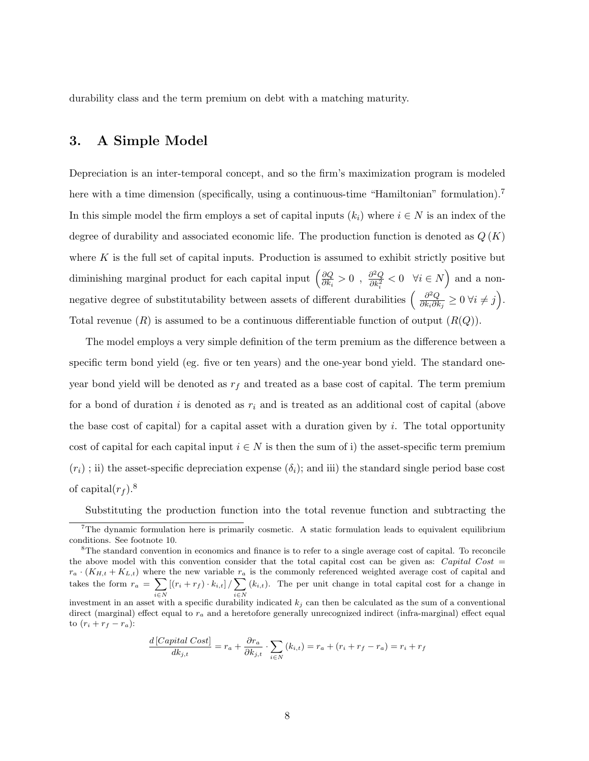durability class and the term premium on debt with a matching maturity.

#### 3. A Simple Model

Depreciation is an inter-temporal concept, and so the firm's maximization program is modeled here with a time dimension (specifically, using a continuous-time "Hamiltonian" formulation).<sup>7</sup> In this simple model the firm employs a set of capital inputs  $(k_i)$  where  $i \in N$  is an index of the degree of durability and associated economic life. The production function is denoted as  $Q(K)$ where  $K$  is the full set of capital inputs. Production is assumed to exhibit strictly positive but diminishing marginal product for each capital input  $\left(\frac{\partial Q}{\partial k}\right)$  $\frac{\partial Q}{\partial k_i} > 0$ ,  $\frac{\partial^2 Q}{\partial k_i^2}$  $\frac{\partial^2 Q}{\partial k_i^2} < 0 \quad \forall i \in N$  and a nonnegative degree of substitutability between assets of different durabilities  $\left(\begin{array}{c} \frac{\partial^2 Q}{\partial k \cdot \partial k} \end{array}\right)$  $\frac{\partial^2 Q}{\partial k_i \partial k_j} \geq 0 \,\forall i \neq j$ . Total revenue  $(R)$  is assumed to be a continuous differentiable function of output  $(R(Q))$ .

The model employs a very simple definition of the term premium as the difference between a specific term bond yield (eg. five or ten years) and the one-year bond yield. The standard oneyear bond yield will be denoted as  $r_f$  and treated as a base cost of capital. The term premium for a bond of duration i is denoted as  $r_i$  and is treated as an additional cost of capital (above the base cost of capital) for a capital asset with a duration given by i. The total opportunity cost of capital for each capital input  $i \in N$  is then the sum of i) the asset-specific term premium  $(r_i)$ ; ii) the asset-specific depreciation expense  $(\delta_i)$ ; and iii) the standard single period base cost of capital $(r_f)$ .<sup>8</sup>

Substituting the production function into the total revenue function and subtracting the

$$
\frac{d[Capital \; Cost]}{dk_{j,t}} = r_a + \frac{\partial r_a}{\partial k_{j,t}} \cdot \sum_{i \in N} (k_{i,t}) = r_a + (r_i + r_f - r_a) = r_i + r_f
$$

<sup>&</sup>lt;sup>7</sup>The dynamic formulation here is primarily cosmetic. A static formulation leads to equivalent equilibrium conditions. See footnote 10.

<sup>&</sup>lt;sup>8</sup>The standard convention in economics and finance is to refer to a single average cost of capital. To reconcile the above model with this convention consider that the total capital cost can be given as: Capital Cost  $=$  $r_a \cdot (K_{H,t} + K_{L,t})$  where the new variable  $r_a$  is the commonly referenced weighted average cost of capital and takes the form  $r_a = \sum$ i∈N  $[(r_i + r_f) \cdot k_{i,t}]/\sum$ i∈N  $(k_{i,t})$ . The per unit change in total capital cost for a change in investment in an asset with a specific durability indicated  $k_j$  can then be calculated as the sum of a conventional direct (marginal) effect equal to  $r_a$  and a heretofore generally unrecognized indirect (infra-marginal) effect equal

to  $(r_i + r_f - r_a)$ :  $\frac{d\left[Capital\;Cost\right]}{n} = r_a +$ ∂r<sup>a</sup>  $\sum$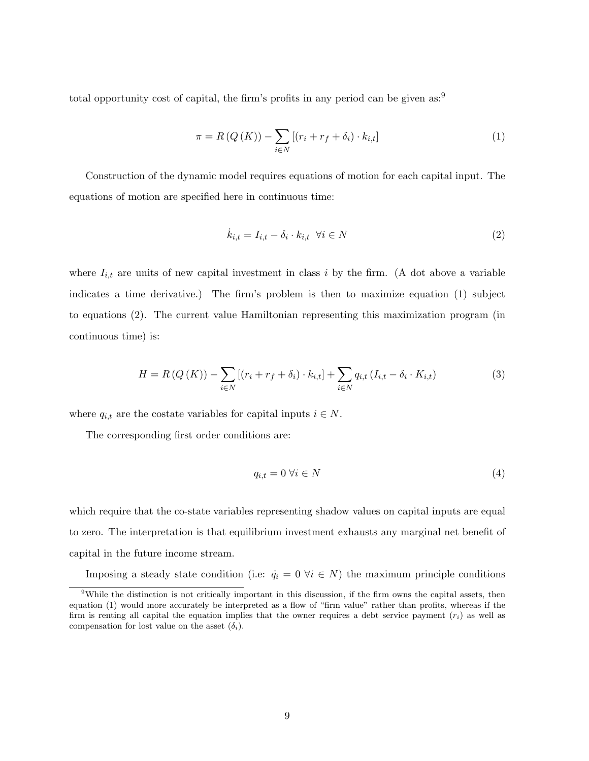total opportunity cost of capital, the firm's profits in any period can be given as: $9$ 

$$
\pi = R\left(Q\left(K\right)\right) - \sum_{i \in N} \left[ \left(r_i + r_f + \delta_i\right) \cdot k_{i,t} \right] \tag{1}
$$

Construction of the dynamic model requires equations of motion for each capital input. The equations of motion are specified here in continuous time:

$$
\dot{k}_{i,t} = I_{i,t} - \delta_i \cdot k_{i,t} \quad \forall i \in N \tag{2}
$$

where  $I_{i,t}$  are units of new capital investment in class i by the firm. (A dot above a variable indicates a time derivative.) The firm's problem is then to maximize equation (1) subject to equations (2). The current value Hamiltonian representing this maximization program (in continuous time) is:

$$
H = R(Q(K)) - \sum_{i \in N} [(r_i + r_f + \delta_i) \cdot k_{i,t}] + \sum_{i \in N} q_{i,t} (I_{i,t} - \delta_i \cdot K_{i,t})
$$
(3)

where  $q_{i,t}$  are the costate variables for capital inputs  $i \in N$ .

The corresponding first order conditions are:

$$
q_{i,t} = 0 \,\forall i \in N \tag{4}
$$

which require that the co-state variables representing shadow values on capital inputs are equal to zero. The interpretation is that equilibrium investment exhausts any marginal net benefit of capital in the future income stream.

Imposing a steady state condition (i.e:  $\dot{q}_i = 0 \ \forall i \in N$ ) the maximum principle conditions

<sup>&</sup>lt;sup>9</sup>While the distinction is not critically important in this discussion, if the firm owns the capital assets, then equation (1) would more accurately be interpreted as a flow of "firm value" rather than profits, whereas if the firm is renting all capital the equation implies that the owner requires a debt service payment  $(r_i)$  as well as compensation for lost value on the asset  $(\delta_i)$ .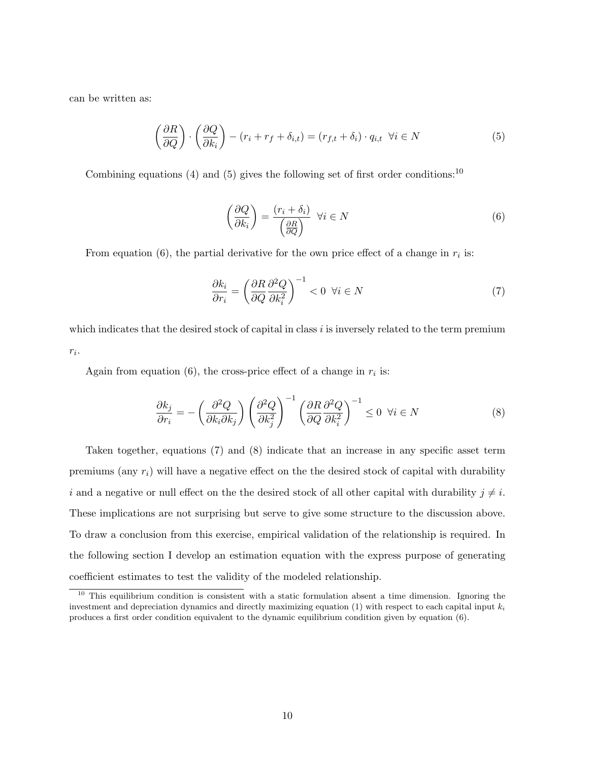can be written as:

$$
\left(\frac{\partial R}{\partial Q}\right) \cdot \left(\frac{\partial Q}{\partial k_i}\right) - (r_i + r_f + \delta_{i,t}) = (r_{f,t} + \delta_i) \cdot q_{i,t} \ \forall i \in N
$$
\n<sup>(5)</sup>

Combining equations (4) and (5) gives the following set of first order conditions:  $10$ 

$$
\left(\frac{\partial Q}{\partial k_i}\right) = \frac{(r_i + \delta_i)}{\left(\frac{\partial R}{\partial Q}\right)} \quad \forall i \in N
$$
\n<sup>(6)</sup>

From equation (6), the partial derivative for the own price effect of a change in  $r_i$  is:

$$
\frac{\partial k_i}{\partial r_i} = \left(\frac{\partial R}{\partial Q}\frac{\partial^2 Q}{\partial k_i^2}\right)^{-1} < 0 \quad \forall i \in N \tag{7}
$$

which indicates that the desired stock of capital in class  $i$  is inversely related to the term premium  $r_i$ .

Again from equation (6), the cross-price effect of a change in  $r_i$  is:

$$
\frac{\partial k_j}{\partial r_i} = -\left(\frac{\partial^2 Q}{\partial k_i \partial k_j}\right) \left(\frac{\partial^2 Q}{\partial k_j^2}\right)^{-1} \left(\frac{\partial R}{\partial Q} \frac{\partial^2 Q}{\partial k_i^2}\right)^{-1} \le 0 \quad \forall i \in N
$$
\n(8)

Taken together, equations (7) and (8) indicate that an increase in any specific asset term premiums (any  $r_i$ ) will have a negative effect on the the desired stock of capital with durability i and a negative or null effect on the the desired stock of all other capital with durability  $j \neq i$ . These implications are not surprising but serve to give some structure to the discussion above. To draw a conclusion from this exercise, empirical validation of the relationship is required. In the following section I develop an estimation equation with the express purpose of generating coefficient estimates to test the validity of the modeled relationship.

 $10$  This equilibrium condition is consistent with a static formulation absent a time dimension. Ignoring the investment and depreciation dynamics and directly maximizing equation (1) with respect to each capital input  $k_i$ produces a first order condition equivalent to the dynamic equilibrium condition given by equation (6).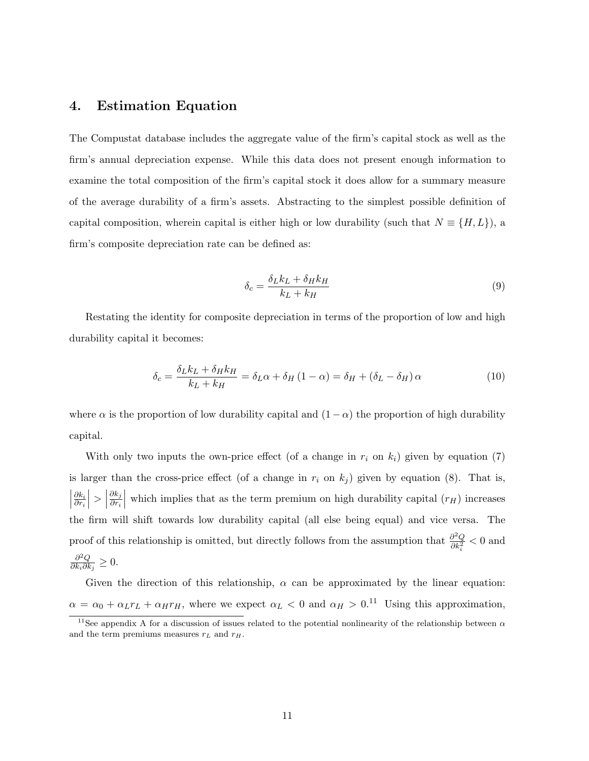#### 4. Estimation Equation

The Compustat database includes the aggregate value of the firm's capital stock as well as the firm's annual depreciation expense. While this data does not present enough information to examine the total composition of the firm's capital stock it does allow for a summary measure of the average durability of a firm's assets. Abstracting to the simplest possible definition of capital composition, wherein capital is either high or low durability (such that  $N \equiv \{H, L\}$ ), a firm's composite depreciation rate can be defined as:

$$
\delta_c = \frac{\delta_L k_L + \delta_H k_H}{k_L + k_H} \tag{9}
$$

Restating the identity for composite depreciation in terms of the proportion of low and high durability capital it becomes:

$$
\delta_c = \frac{\delta_L k_L + \delta_H k_H}{k_L + k_H} = \delta_L \alpha + \delta_H (1 - \alpha) = \delta_H + (\delta_L - \delta_H) \alpha \tag{10}
$$

where  $\alpha$  is the proportion of low durability capital and  $(1 - \alpha)$  the proportion of high durability capital.

With only two inputs the own-price effect (of a change in  $r_i$  on  $k_i$ ) given by equation (7) is larger than the cross-price effect (of a change in  $r_i$  on  $k_j$ ) given by equation (8). That is,  $\begin{array}{c} \begin{array}{c} \begin{array}{c} \end{array} \\ \begin{array}{c} \end{array} \end{array} \end{array}$  $\partial k_i$  $\overline{\partial r_i}$  $\vert$  >  $\vert$  $\partial k_j$  $\overline{\partial r_i}$ which implies that as the term premium on high durability capital  $(r_H)$  increases the firm will shift towards low durability capital (all else being equal) and vice versa. The proof of this relationship is omitted, but directly follows from the assumption that  $\frac{\partial^2 Q}{\partial k^2}$  $\frac{\partial^2 Q}{\partial k_i^2}$  < 0 and  $\partial^2 Q$  $\frac{\partial^2 Q}{\partial k_i \partial k_j} \geq 0.$ 

Given the direction of this relationship,  $\alpha$  can be approximated by the linear equation:  $\alpha = \alpha_0 + \alpha_L r_L + \alpha_H r_H$ , where we expect  $\alpha_L < 0$  and  $\alpha_H > 0$ .<sup>11</sup> Using this approximation,

<sup>&</sup>lt;sup>11</sup>See appendix A for a discussion of issues related to the potential nonlinearity of the relationship between  $\alpha$ and the term premiums measures  $r<sub>L</sub>$  and  $r<sub>H</sub>$ .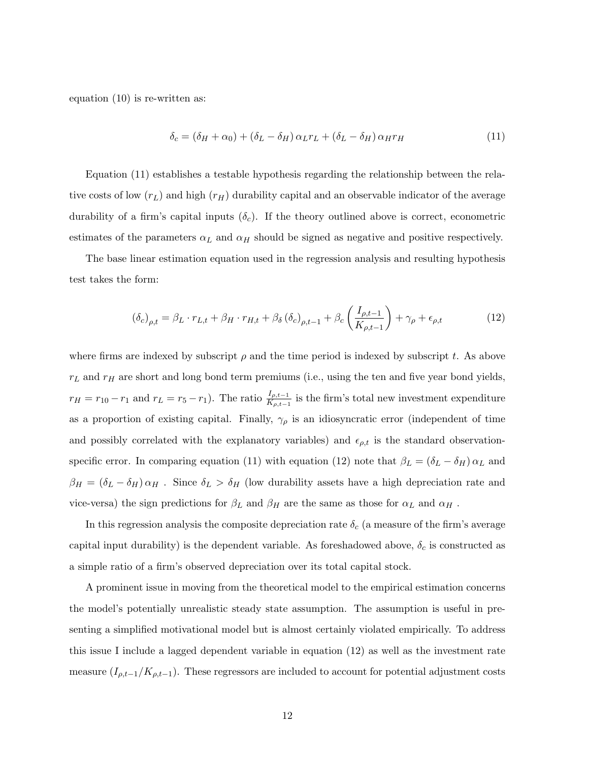equation (10) is re-written as:

$$
\delta_c = (\delta_H + \alpha_0) + (\delta_L - \delta_H) \alpha_L r_L + (\delta_L - \delta_H) \alpha_H r_H \tag{11}
$$

Equation (11) establishes a testable hypothesis regarding the relationship between the relative costs of low  $(r_L)$  and high  $(r_H)$  durability capital and an observable indicator of the average durability of a firm's capital inputs  $(\delta_c)$ . If the theory outlined above is correct, econometric estimates of the parameters  $\alpha_L$  and  $\alpha_H$  should be signed as negative and positive respectively.

The base linear estimation equation used in the regression analysis and resulting hypothesis test takes the form:

$$
(\delta_c)_{\rho,t} = \beta_L \cdot r_{L,t} + \beta_H \cdot r_{H,t} + \beta_\delta (\delta_c)_{\rho,t-1} + \beta_c \left(\frac{I_{\rho,t-1}}{K_{\rho,t-1}}\right) + \gamma_\rho + \epsilon_{\rho,t}
$$
(12)

where firms are indexed by subscript  $\rho$  and the time period is indexed by subscript t. As above  $r<sub>L</sub>$  and  $r<sub>H</sub>$  are short and long bond term premiums (i.e., using the ten and five year bond yields,  $r_H = r_{10} - r_1$  and  $r_L = r_5 - r_1$ ). The ratio  $\frac{I_{\rho,t-1}}{K_{\rho,t-1}}$  is the firm's total new investment expenditure as a proportion of existing capital. Finally,  $\gamma_{\rho}$  is an idiosyncratic error (independent of time and possibly correlated with the explanatory variables) and  $\epsilon_{\rho,t}$  is the standard observationspecific error. In comparing equation (11) with equation (12) note that  $\beta_L = (\delta_L - \delta_H) \alpha_L$  and  $\beta_H = (\delta_L - \delta_H) \alpha_H$ . Since  $\delta_L > \delta_H$  (low durability assets have a high depreciation rate and vice-versa) the sign predictions for  $\beta_L$  and  $\beta_H$  are the same as those for  $\alpha_L$  and  $\alpha_H$ .

In this regression analysis the composite depreciation rate  $\delta_c$  (a measure of the firm's average capital input durability) is the dependent variable. As foreshadowed above,  $\delta_c$  is constructed as a simple ratio of a firm's observed depreciation over its total capital stock.

A prominent issue in moving from the theoretical model to the empirical estimation concerns the model's potentially unrealistic steady state assumption. The assumption is useful in presenting a simplified motivational model but is almost certainly violated empirically. To address this issue I include a lagged dependent variable in equation (12) as well as the investment rate measure  $(I_{\rho,t-1}/K_{\rho,t-1})$ . These regressors are included to account for potential adjustment costs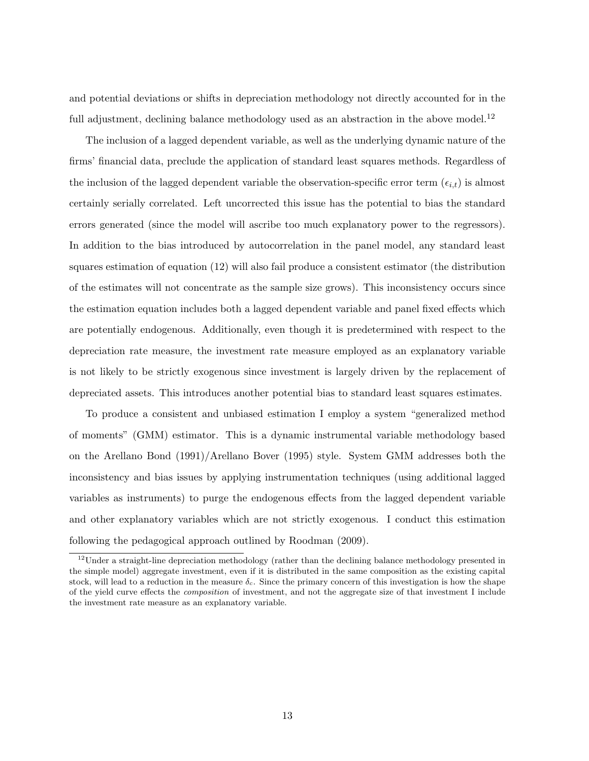and potential deviations or shifts in depreciation methodology not directly accounted for in the full adjustment, declining balance methodology used as an abstraction in the above model.<sup>12</sup>

The inclusion of a lagged dependent variable, as well as the underlying dynamic nature of the firms' financial data, preclude the application of standard least squares methods. Regardless of the inclusion of the lagged dependent variable the observation-specific error term  $(\epsilon_{i,t})$  is almost certainly serially correlated. Left uncorrected this issue has the potential to bias the standard errors generated (since the model will ascribe too much explanatory power to the regressors). In addition to the bias introduced by autocorrelation in the panel model, any standard least squares estimation of equation (12) will also fail produce a consistent estimator (the distribution of the estimates will not concentrate as the sample size grows). This inconsistency occurs since the estimation equation includes both a lagged dependent variable and panel fixed effects which are potentially endogenous. Additionally, even though it is predetermined with respect to the depreciation rate measure, the investment rate measure employed as an explanatory variable is not likely to be strictly exogenous since investment is largely driven by the replacement of depreciated assets. This introduces another potential bias to standard least squares estimates.

To produce a consistent and unbiased estimation I employ a system "generalized method of moments" (GMM) estimator. This is a dynamic instrumental variable methodology based on the Arellano Bond (1991)/Arellano Bover (1995) style. System GMM addresses both the inconsistency and bias issues by applying instrumentation techniques (using additional lagged variables as instruments) to purge the endogenous effects from the lagged dependent variable and other explanatory variables which are not strictly exogenous. I conduct this estimation following the pedagogical approach outlined by Roodman (2009).

<sup>&</sup>lt;sup>12</sup>Under a straight-line depreciation methodology (rather than the declining balance methodology presented in the simple model) aggregate investment, even if it is distributed in the same composition as the existing capital stock, will lead to a reduction in the measure  $\delta_c$ . Since the primary concern of this investigation is how the shape of the yield curve effects the composition of investment, and not the aggregate size of that investment I include the investment rate measure as an explanatory variable.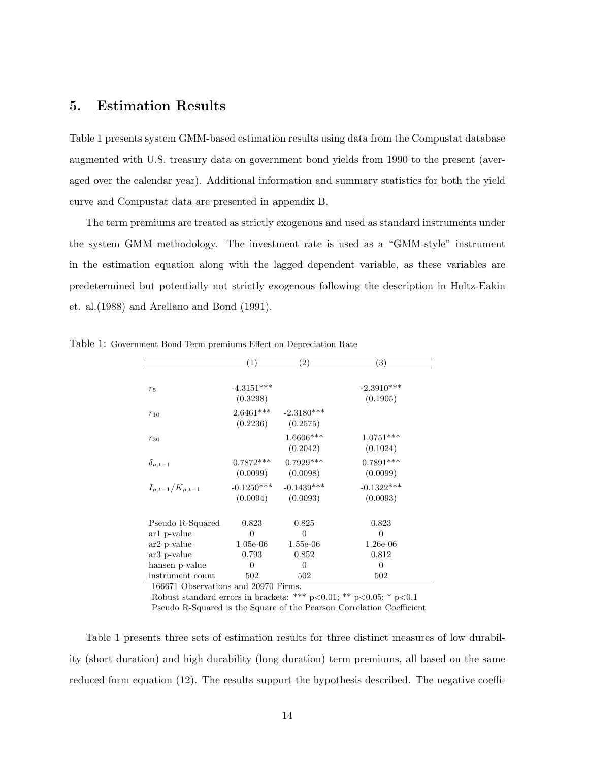#### 5. Estimation Results

Table 1 presents system GMM-based estimation results using data from the Compustat database augmented with U.S. treasury data on government bond yields from 1990 to the present (averaged over the calendar year). Additional information and summary statistics for both the yield curve and Compustat data are presented in appendix B.

The term premiums are treated as strictly exogenous and used as standard instruments under the system GMM methodology. The investment rate is used as a "GMM-style" instrument in the estimation equation along with the lagged dependent variable, as these variables are predetermined but potentially not strictly exogenous following the description in Holtz-Eakin et. al.(1988) and Arellano and Bond (1991).

|                         | (1)                      | $\left( 2\right)$                    | $\left( 3\right)$        |
|-------------------------|--------------------------|--------------------------------------|--------------------------|
| $r_5$                   | $-4.3151***$             |                                      | $-2.3910***$             |
|                         | (0.3298)                 |                                      | (0.1905)                 |
| $r_{10}$                | (0.2236)                 | $2.6461***$ $-2.3180***$<br>(0.2575) |                          |
| $r_{30}$                |                          | $1.6606***$<br>(0.2042)              | $1.0751***$<br>(0.1024)  |
| $\delta_{\rho,t-1}$     | $0.7872***$<br>(0.0099)  | $0.7929***$<br>(0.0098)              | $0.7891***$<br>(0.0099)  |
| $I_{o.t-1}/K_{o.t-1}$   | $-0.1250***$<br>(0.0094) | $-0.1439***$<br>(0.0093)             | $-0.1322***$<br>(0.0093) |
| Pseudo R-Squared        | 0.823                    | 0.825                                | 0.823                    |
| ar1 p-value             | $\Omega$                 | $\theta$                             | $\Omega$                 |
| $ar2$ p-value           | $1.05e-06$               | $1.55e-06$                           | $1.26e-06$               |
| ar <sub>3</sub> p-value | 0.793                    | 0.852                                | 0.812                    |
| hansen p-value          | 0                        | 0                                    | 0                        |
| instrument count        | 502                      | 502                                  | 502                      |

Table 1: Government Bond Term premiums Effect on Depreciation Rate

166671 Observations and 20970 Firms.

Robust standard errors in brackets: \*\*\* p<0.01; \*\* p<0.05; \* p<0.1

Pseudo R-Squared is the Square of the Pearson Correlation Coefficient

Table 1 presents three sets of estimation results for three distinct measures of low durability (short duration) and high durability (long duration) term premiums, all based on the same reduced form equation (12). The results support the hypothesis described. The negative coeffi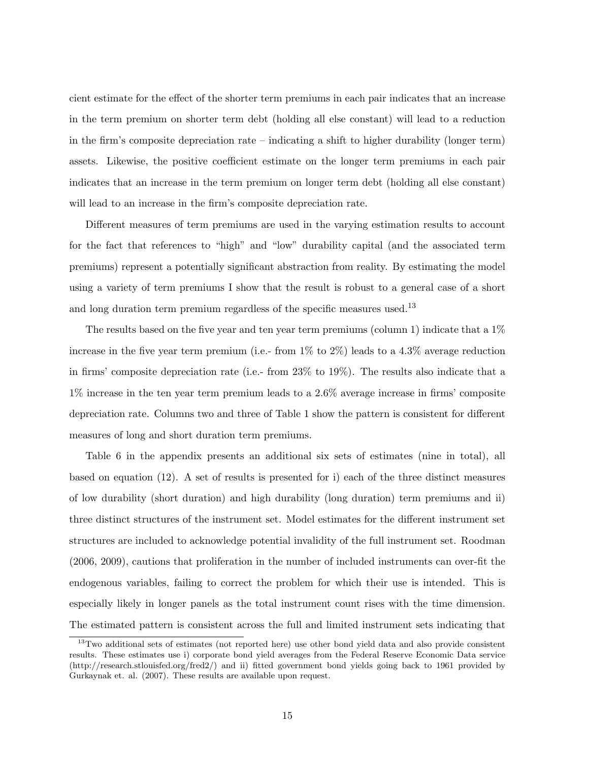cient estimate for the effect of the shorter term premiums in each pair indicates that an increase in the term premium on shorter term debt (holding all else constant) will lead to a reduction in the firm's composite depreciation rate – indicating a shift to higher durability (longer term) assets. Likewise, the positive coefficient estimate on the longer term premiums in each pair indicates that an increase in the term premium on longer term debt (holding all else constant) will lead to an increase in the firm's composite depreciation rate.

Different measures of term premiums are used in the varying estimation results to account for the fact that references to "high" and "low" durability capital (and the associated term premiums) represent a potentially significant abstraction from reality. By estimating the model using a variety of term premiums I show that the result is robust to a general case of a short and long duration term premium regardless of the specific measures used.<sup>13</sup>

The results based on the five year and ten year term premiums (column 1) indicate that a  $1\%$ increase in the five year term premium (i.e.- from  $1\%$  to  $2\%$ ) leads to a 4.3% average reduction in firms' composite depreciation rate (i.e.- from 23% to 19%). The results also indicate that a 1% increase in the ten year term premium leads to a 2.6% average increase in firms' composite depreciation rate. Columns two and three of Table 1 show the pattern is consistent for different measures of long and short duration term premiums.

Table 6 in the appendix presents an additional six sets of estimates (nine in total), all based on equation (12). A set of results is presented for i) each of the three distinct measures of low durability (short duration) and high durability (long duration) term premiums and ii) three distinct structures of the instrument set. Model estimates for the different instrument set structures are included to acknowledge potential invalidity of the full instrument set. Roodman (2006, 2009), cautions that proliferation in the number of included instruments can over-fit the endogenous variables, failing to correct the problem for which their use is intended. This is especially likely in longer panels as the total instrument count rises with the time dimension. The estimated pattern is consistent across the full and limited instrument sets indicating that

<sup>13</sup>Two additional sets of estimates (not reported here) use other bond yield data and also provide consistent results. These estimates use i) corporate bond yield averages from the Federal Reserve Economic Data service (http://research.stlouisfed.org/fred2/) and ii) fitted government bond yields going back to 1961 provided by Gurkaynak et. al. (2007). These results are available upon request.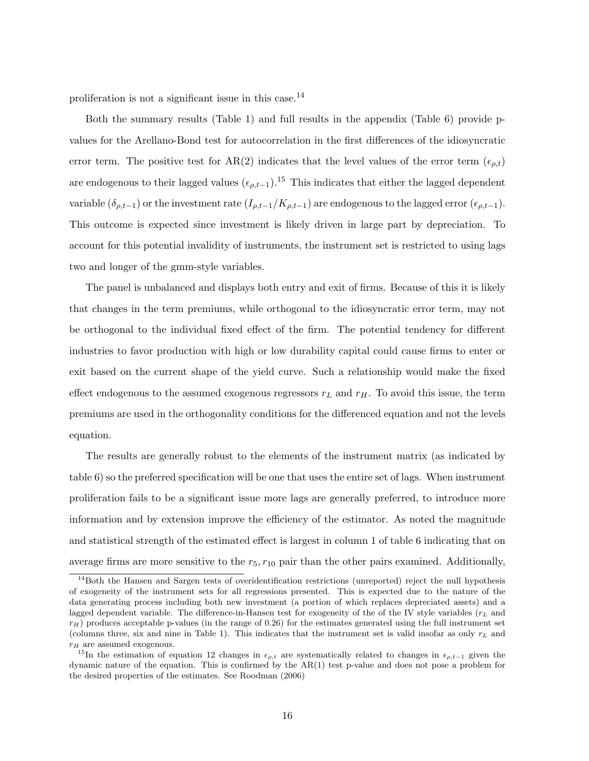proliferation is not a significant issue in this case.<sup>14</sup>

Both the summary results (Table 1) and full results in the appendix (Table 6) provide pvalues for the Arellano-Bond test for autocorrelation in the first differences of the idiosyncratic error term. The positive test for AR(2) indicates that the level values of the error term  $(\epsilon_{\rho,t})$ are endogenous to their lagged values  $(\epsilon_{p,t-1})$ .<sup>15</sup> This indicates that either the lagged dependent variable  $(\delta_{\rho,t-1})$  or the investment rate  $(I_{\rho,t-1}/K_{\rho,t-1})$  are endogenous to the lagged error  $(\epsilon_{\rho,t-1})$ . This outcome is expected since investment is likely driven in large part by depreciation. To account for this potential invalidity of instruments, the instrument set is restricted to using lags two and longer of the gmm-style variables.

The panel is unbalanced and displays both entry and exit of firms. Because of this it is likely that changes in the term premiums, while orthogonal to the idiosyncratic error term, may not be orthogonal to the individual fixed effect of the firm. The potential tendency for different industries to favor production with high or low durability capital could cause firms to enter or exit based on the current shape of the yield curve. Such a relationship would make the fixed effect endogenous to the assumed exogenous regressors  $r<sub>L</sub>$  and  $r<sub>H</sub>$ . To avoid this issue, the term premiums are used in the orthogonality conditions for the differenced equation and not the levels equation.

The results are generally robust to the elements of the instrument matrix (as indicated by table 6) so the preferred specification will be one that uses the entire set of lags. When instrument proliferation fails to be a significant issue more lags are generally preferred, to introduce more information and by extension improve the efficiency of the estimator. As noted the magnitude and statistical strength of the estimated effect is largest in column 1 of table 6 indicating that on average firms are more sensitive to the  $r_5, r_{10}$  pair than the other pairs examined. Additionally,

<sup>&</sup>lt;sup>14</sup>Both the Hansen and Sargen tests of overidentification restrictions (unreported) reject the null hypothesis of exogeneity of the instrument sets for all regressions presented. This is expected due to the nature of the data generating process including both new investment (a portion of which replaces depreciated assets) and a lagged dependent variable. The difference-in-Hansen test for exogeneity of the of the IV style variables  $(r<sub>L</sub>$  and  $r_H$ ) produces acceptable p-values (in the range of 0.26) for the estimates generated using the full instrument set (columns three, six and nine in Table 1). This indicates that the instrument set is valid insofar as only  $r<sub>L</sub>$  and  $r_H$  are assumed exogenous.

<sup>&</sup>lt;sup>15</sup>In the estimation of equation 12 changes in  $\epsilon_{\rho,t}$  are systematically related to changes in  $\epsilon_{\rho,t-1}$  given the dynamic nature of the equation. This is confirmed by the AR(1) test p-value and does not pose a problem for the desired properties of the estimates. See Roodman (2006)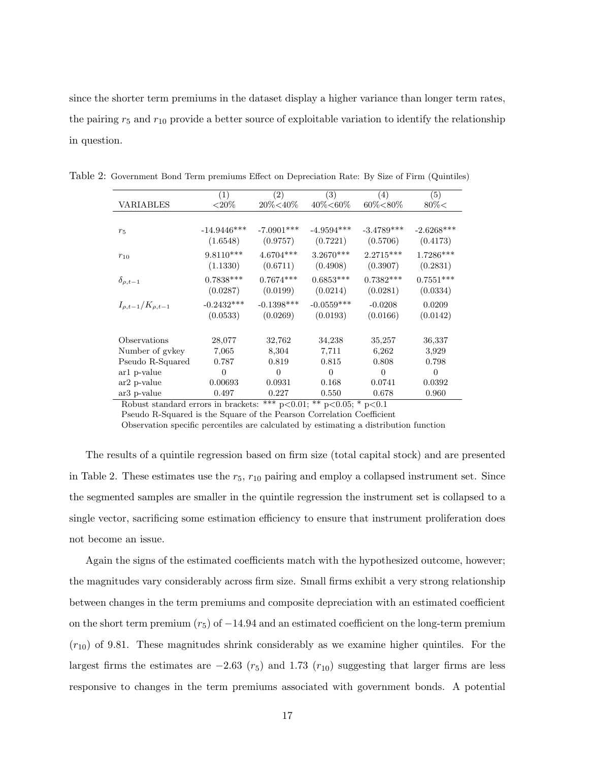since the shorter term premiums in the dataset display a higher variance than longer term rates, the pairing  $r_5$  and  $r_{10}$  provide a better source of exploitable variation to identify the relationship in question.

|               | (2)                                    | (3)                             | $\left( 4\right)$               | (5)             |
|---------------|----------------------------------------|---------------------------------|---------------------------------|-----------------|
| ${<}20\%$     | 20%<40%                                | 40%<60%                         | $60\% < 80\%$                   | $80\%<$         |
|               |                                        |                                 |                                 |                 |
| $-14.9446***$ |                                        |                                 | $-3.4789***$                    | $-2.6268***$    |
| (1.6548)      | (0.9757)                               | (0.7221)                        | (0.5706)                        | (0.4173)        |
| $9.8110***$   | $4.6704***$                            | $3.2670***$                     | 2.2715***                       | $1.7286***$     |
| (1.1330)      | (0.6711)                               | (0.4908)                        | (0.3907)                        | (0.2831)        |
| $0.7838***$   | $0.7674***$                            | $0.6853***$                     | $0.7382***$                     | $0.7551***$     |
| (0.0287)      | (0.0199)                               | (0.0214)                        | (0.0281)                        | (0.0334)        |
|               | $-0.1398***$                           | $-0.0559***$                    | $-0.0208$                       | 0.0209          |
| (0.0533)      | (0.0269)                               | (0.0193)                        | (0.0166)                        | (0.0142)        |
|               |                                        |                                 |                                 |                 |
|               |                                        |                                 |                                 | 36,337          |
|               |                                        |                                 |                                 | 3,929           |
| 0.787         | 0.819                                  | 0.815                           | 0.808                           | 0.798           |
| $\Omega$      | $\theta$                               | $\Omega$                        | $\Omega$                        | $\Omega$        |
| 0.00693       | 0.0931                                 | 0.168                           | 0.0741                          | 0.0392          |
| 0.497         | 0.227                                  | 0.550                           | 0.678                           | 0.960           |
|               | (1)<br>$-0.2432***$<br>28,077<br>7,065 | $-7.0901***$<br>32,762<br>8,304 | $-4.9594***$<br>34,238<br>7,711 | 35,257<br>6,262 |

Table 2: Government Bond Term premiums Effect on Depreciation Rate: By Size of Firm (Quintiles)

Robust standard errors in brackets: \*\*\*  $p<0.01$ ; \*\*  $p<0.05$ ; \*  $p<0.1$ 

Pseudo R-Squared is the Square of the Pearson Correlation Coefficient

Observation specific percentiles are calculated by estimating a distribution function

The results of a quintile regression based on firm size (total capital stock) and are presented in Table 2. These estimates use the  $r_5$ ,  $r_{10}$  pairing and employ a collapsed instrument set. Since the segmented samples are smaller in the quintile regression the instrument set is collapsed to a single vector, sacrificing some estimation efficiency to ensure that instrument proliferation does not become an issue.

Again the signs of the estimated coefficients match with the hypothesized outcome, however; the magnitudes vary considerably across firm size. Small firms exhibit a very strong relationship between changes in the term premiums and composite depreciation with an estimated coefficient on the short term premium  $(r_5)$  of  $-14.94$  and an estimated coefficient on the long-term premium  $(r_{10})$  of 9.81. These magnitudes shrink considerably as we examine higher quintiles. For the largest firms the estimates are  $-2.63$  ( $r_5$ ) and 1.73 ( $r_{10}$ ) suggesting that larger firms are less responsive to changes in the term premiums associated with government bonds. A potential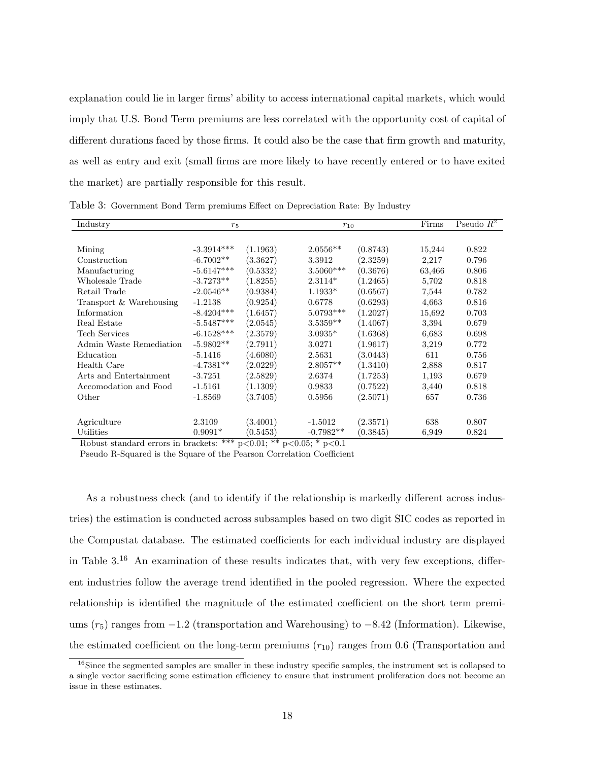explanation could lie in larger firms' ability to access international capital markets, which would imply that U.S. Bond Term premiums are less correlated with the opportunity cost of capital of different durations faced by those firms. It could also be the case that firm growth and maturity, as well as entry and exit (small firms are more likely to have recently entered or to have exited the market) are partially responsible for this result.

| Industry                | $r_{5}$                     |                      | $r_{10}$    |          | Firms  | Pseudo $R^2$ |
|-------------------------|-----------------------------|----------------------|-------------|----------|--------|--------------|
|                         |                             |                      |             |          |        |              |
| Mining                  | $-3.3914***$                | (1.1963)             | $2.0556**$  | (0.8743) | 15,244 | 0.822        |
| Construction            | $-6.7002**$                 | (3.3627)             | 3.3912      | (2.3259) | 2,217  | 0.796        |
| Manufacturing           | $-5.6147***$                | (0.5332)             | $3.5060***$ | (0.3676) | 63,466 | 0.806        |
| Wholesale Trade         | $-3.7273**$                 | (1.8255)             | $2.3114*$   | (1.2465) | 5,702  | 0.818        |
| Retail Trade            | $-2.0546**$                 | (0.9384)             | $1.1933*$   | (0.6567) | 7,544  | 0.782        |
| Transport & Warehousing | $-1.2138$                   | (0.9254)             | 0.6778      | (0.6293) | 4,663  | 0.816        |
| Information             | $-8.4204***$                | (1.6457)             | $5.0793***$ | (1.2027) | 15,692 | 0.703        |
| Real Estate             | $-5.5487***$                | (2.0545)             | $3.5359**$  | (1.4067) | 3,394  | 0.679        |
| <b>Tech Services</b>    | $-6.1528***$                | (2.3579)             | $3.0935*$   | (1.6368) | 6,683  | 0.698        |
| Admin Waste Remediation | $-5.9802**$                 | (2.7911)             | 3.0271      | (1.9617) | 3,219  | 0.772        |
| Education               | $-5.1416$                   | (4.6080)             | 2.5631      | (3.0443) | 611    | 0.756        |
| Health Care             | $-4.7381**$                 | (2.0229)             | $2.8057**$  | (1.3410) | 2,888  | 0.817        |
| Arts and Entertainment  | $-3.7251$                   | (2.5829)             | 2.6374      | (1.7253) | 1,193  | 0.679        |
| Accomodation and Food   | $-1.5161$                   | (1.1309)             | 0.9833      | (0.7522) | 3,440  | 0.818        |
| Other                   | $-1.8569$                   | (3.7405)             | 0.5956      | (2.5071) | 657    | 0.736        |
|                         |                             |                      |             |          |        |              |
| Agriculture             | 2.3109                      | (3.4001)             | $-1.5012$   | (2.3571) | 638    | 0.807        |
| Utilities               | $0.9091*$<br>أأمام مالحماله | (0.5453)<br>als als. | $-0.7982**$ | (0.3845) | 6,949  | 0.824        |

Table 3: Government Bond Term premiums Effect on Depreciation Rate: By Industry

Robust standard errors in brackets: \*\*\*  $p<0.01$ ; \*\*  $p<0.05$ ; \*  $p<0.1$ 

Pseudo R-Squared is the Square of the Pearson Correlation Coefficient

As a robustness check (and to identify if the relationship is markedly different across industries) the estimation is conducted across subsamples based on two digit SIC codes as reported in the Compustat database. The estimated coefficients for each individual industry are displayed in Table  $3^{16}$  An examination of these results indicates that, with very few exceptions, different industries follow the average trend identified in the pooled regression. Where the expected relationship is identified the magnitude of the estimated coefficient on the short term premiums ( $r_5$ ) ranges from  $-1.2$  (transportation and Warehousing) to  $-8.42$  (Information). Likewise, the estimated coefficient on the long-term premiums  $(r_{10})$  ranges from 0.6 (Transportation and

 $16$ Since the segmented samples are smaller in these industry specific samples, the instrument set is collapsed to a single vector sacrificing some estimation efficiency to ensure that instrument proliferation does not become an issue in these estimates.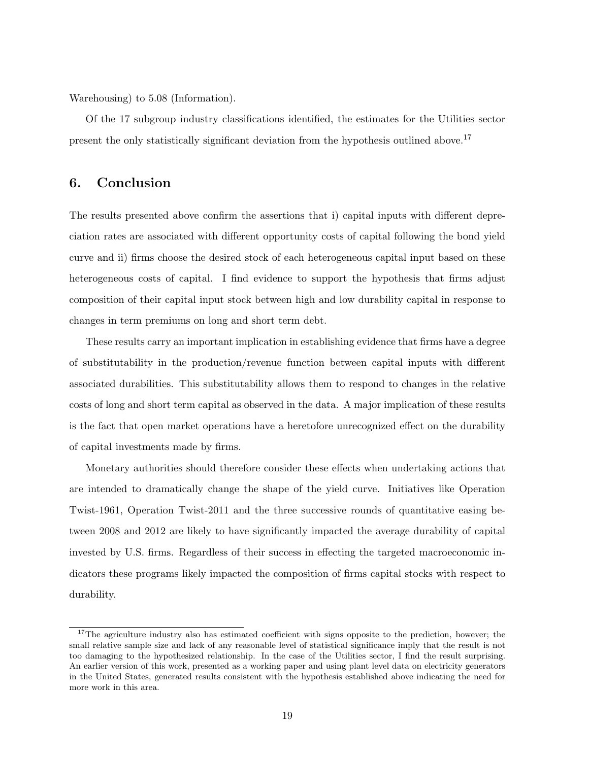Warehousing) to 5.08 (Information).

Of the 17 subgroup industry classifications identified, the estimates for the Utilities sector present the only statistically significant deviation from the hypothesis outlined above.<sup>17</sup>

#### 6. Conclusion

The results presented above confirm the assertions that i) capital inputs with different depreciation rates are associated with different opportunity costs of capital following the bond yield curve and ii) firms choose the desired stock of each heterogeneous capital input based on these heterogeneous costs of capital. I find evidence to support the hypothesis that firms adjust composition of their capital input stock between high and low durability capital in response to changes in term premiums on long and short term debt.

These results carry an important implication in establishing evidence that firms have a degree of substitutability in the production/revenue function between capital inputs with different associated durabilities. This substitutability allows them to respond to changes in the relative costs of long and short term capital as observed in the data. A major implication of these results is the fact that open market operations have a heretofore unrecognized effect on the durability of capital investments made by firms.

Monetary authorities should therefore consider these effects when undertaking actions that are intended to dramatically change the shape of the yield curve. Initiatives like Operation Twist-1961, Operation Twist-2011 and the three successive rounds of quantitative easing between 2008 and 2012 are likely to have significantly impacted the average durability of capital invested by U.S. firms. Regardless of their success in effecting the targeted macroeconomic indicators these programs likely impacted the composition of firms capital stocks with respect to durability.

<sup>&</sup>lt;sup>17</sup>The agriculture industry also has estimated coefficient with signs opposite to the prediction, however; the small relative sample size and lack of any reasonable level of statistical significance imply that the result is not too damaging to the hypothesized relationship. In the case of the Utilities sector, I find the result surprising. An earlier version of this work, presented as a working paper and using plant level data on electricity generators in the United States, generated results consistent with the hypothesis established above indicating the need for more work in this area.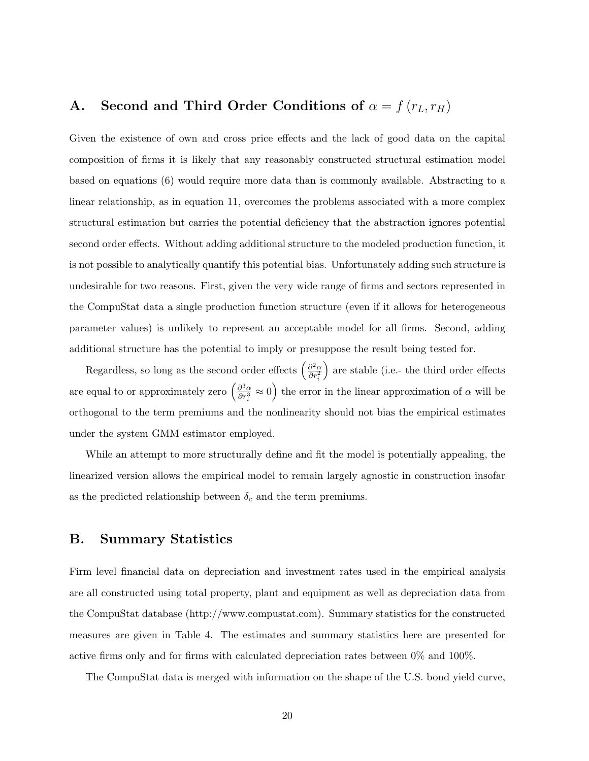## A. Second and Third Order Conditions of  $\alpha = f(r_L, r_H)$

Given the existence of own and cross price effects and the lack of good data on the capital composition of firms it is likely that any reasonably constructed structural estimation model based on equations (6) would require more data than is commonly available. Abstracting to a linear relationship, as in equation 11, overcomes the problems associated with a more complex structural estimation but carries the potential deficiency that the abstraction ignores potential second order effects. Without adding additional structure to the modeled production function, it is not possible to analytically quantify this potential bias. Unfortunately adding such structure is undesirable for two reasons. First, given the very wide range of firms and sectors represented in the CompuStat data a single production function structure (even if it allows for heterogeneous parameter values) is unlikely to represent an acceptable model for all firms. Second, adding additional structure has the potential to imply or presuppose the result being tested for.

Regardless, so long as the second order effects  $\left(\frac{\partial^2 \alpha}{\partial x^2}\right)$  $\overline{\partial r_i^2}$  are stable (i.e.- the third order effects are equal to or approximately zero  $\left(\frac{\partial^3 a}{\partial x^3}\right)$  $\left(\frac{\partial^3 \alpha}{\partial r_i^3} \approx 0\right)$  the error in the linear approximation of  $\alpha$  will be orthogonal to the term premiums and the nonlinearity should not bias the empirical estimates under the system GMM estimator employed.

While an attempt to more structurally define and fit the model is potentially appealing, the linearized version allows the empirical model to remain largely agnostic in construction insofar as the predicted relationship between  $\delta_c$  and the term premiums.

### B. Summary Statistics

Firm level financial data on depreciation and investment rates used in the empirical analysis are all constructed using total property, plant and equipment as well as depreciation data from the CompuStat database (http://www.compustat.com). Summary statistics for the constructed measures are given in Table 4. The estimates and summary statistics here are presented for active firms only and for firms with calculated depreciation rates between 0% and 100%.

The CompuStat data is merged with information on the shape of the U.S. bond yield curve,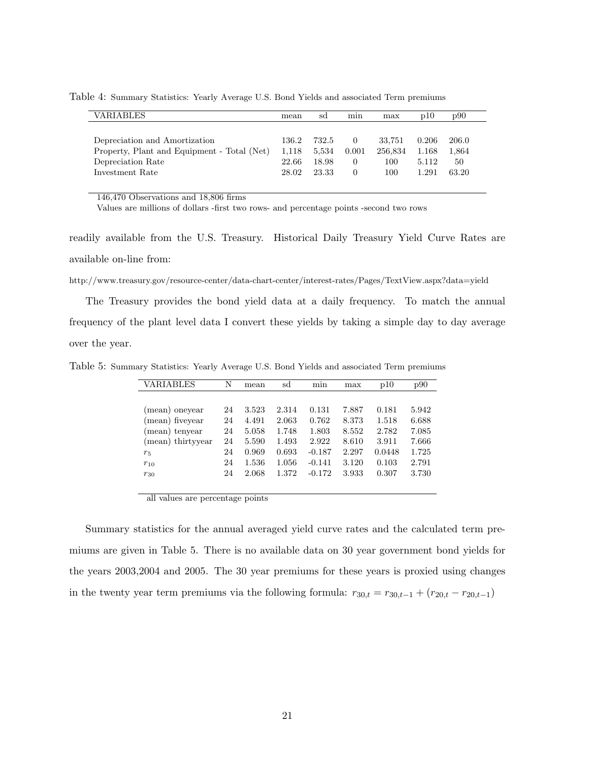Table 4: Summary Statistics: Yearly Average U.S. Bond Yields and associated Term premiums

| VARIABLES                                   | mean  | sd    | min      | max     | p10   | p90   |
|---------------------------------------------|-------|-------|----------|---------|-------|-------|
|                                             |       |       |          |         |       |       |
| Depreciation and Amortization               | 136.2 | 732.5 | $\theta$ | 33.751  | 0.206 | 206.0 |
| Property, Plant and Equipment - Total (Net) | 1.118 | 5.534 | 0.001    | 256,834 | 1.168 | 1,864 |
| Depreciation Rate                           | 22.66 | 18.98 | $\theta$ | 100     | 5.112 | 50    |
| Investment Rate                             | 28.02 | 23.33 | $\Omega$ | 100     | 1.291 | 63.20 |
|                                             |       |       |          |         |       |       |

146,470 Observations and 18,806 firms

Values are millions of dollars -first two rows- and percentage points -second two rows

readily available from the U.S. Treasury. Historical Daily Treasury Yield Curve Rates are available on-line from:

http://www.treasury.gov/resource-center/data-chart-center/interest-rates/Pages/TextView.aspx?data=yield

The Treasury provides the bond yield data at a daily frequency. To match the annual frequency of the plant level data I convert these yields by taking a simple day to day average over the year.

Table 5: Summary Statistics: Yearly Average U.S. Bond Yields and associated Term premiums

| VARIABLES         | N  | mean  | sd        | min      | max   | p10    | p90   |
|-------------------|----|-------|-----------|----------|-------|--------|-------|
|                   |    |       |           |          |       |        |       |
| (mean) oneyear    | 24 | 3.523 | 2.314     | 0.131    | 7.887 | 0.181  | 5.942 |
| (mean) fiveyear   | 24 | 4.491 | 2.063     | 0.762    | 8.373 | 1.518  | 6.688 |
| (mean) tenyear    | 24 | 5.058 | 1.748     | 1.803    | 8.552 | 2.782  | 7.085 |
| (mean) thirtyyear | 24 | 5.590 | 1.493     | 2.922    | 8.610 | 3.911  | 7.666 |
| $r_5$             | 24 | 0.969 | 0.693     | $-0.187$ | 2.297 | 0.0448 | 1.725 |
| $r_{10}$          | 24 | 1.536 | $1.056\,$ | $-0.141$ | 3.120 | 0.103  | 2.791 |
| $r_{30}$          | 24 | 2.068 | 1.372     | $-0.172$ | 3.933 | 0.307  | 3.730 |

all values are percentage points

Summary statistics for the annual averaged yield curve rates and the calculated term premiums are given in Table 5. There is no available data on 30 year government bond yields for the years 2003,2004 and 2005. The 30 year premiums for these years is proxied using changes in the twenty year term premiums via the following formula:  $r_{30,t} = r_{30,t-1} + (r_{20,t} - r_{20,t-1})$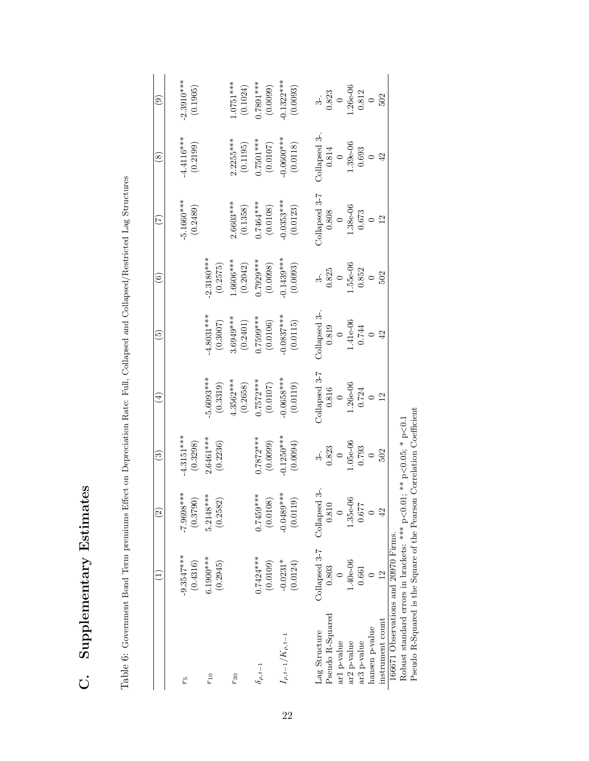| ֦֦֚֚֚֚֚֝֝׆<br>֧֧֧<br>$\frac{1}{2}$<br>$\frac{1}{\zeta}$                                                                           |
|-----------------------------------------------------------------------------------------------------------------------------------|
| --<br>-<br>-<br>-<br>-<br>-<br>-<br>-<br>-<br>-<br><br>-<br><br><br><br><br><br><br><br><br><br><br><br><br><br><br>$\frac{1}{2}$ |
| Ì                                                                                                                                 |

Table 6: Government Bond Term premiums Effect on Depreciation Rate: Full, Collapsed and Collapsed/Restricted Lag Structures Table 6: Government Bond Term premiums Effect on Depreciation Rate: Full, Collapsed and Collapsed/Restricted Lag Structures

|                                                |                          | $\widehat{\Omega}$       | ව                                          | $\widehat{A}$                                              | $\widetilde{\mathbb{G}}$                                  | $\widehat{\circ}$                                    |                                                                                                                                             | $\circledast$                                                                                          | ම                                                |
|------------------------------------------------|--------------------------|--------------------------|--------------------------------------------|------------------------------------------------------------|-----------------------------------------------------------|------------------------------------------------------|---------------------------------------------------------------------------------------------------------------------------------------------|--------------------------------------------------------------------------------------------------------|--------------------------------------------------|
| rz                                             | $-9.3547***$<br>(0.4316) | -7.9698***<br>(0.3790)   | $4.3151***$<br>(0.3298)                    |                                                            |                                                           |                                                      | $-5.1660***$<br>(0.2489)                                                                                                                    | $-4.4116***$<br>(0.2199)                                                                               | $-2.3910***$<br>(0.1905)                         |
| $r_{10}$                                       | 6.1900 ***<br>(0.2945)   | $5.2148***$<br>(0.2582)  | $2.6461***$<br>(0.2236)                    | 5.6093***<br>(0.3319)                                      | $4.8031***$<br>(0.3007)                                   | $2.3180***$<br>(0.2575)                              |                                                                                                                                             |                                                                                                        |                                                  |
| $r_{30}$                                       |                          |                          |                                            | $4.3562***$<br>(0.2658)                                    | $3.6949***$<br>(0.2401)                                   | $1.6606***$<br>(0.2042)                              | 1.6603***<br>(0.1358)                                                                                                                       | $0.2255***$<br>(0.1195)                                                                                | $1.0751***$<br>(0.1024)                          |
| $\delta_{\rho,t-1}$                            | $0.7424***$<br>(0.0109)  | $0.7459***$<br>(0.0108)  | (660010)                                   | $0.7572***$<br>(0.0107)                                    | $0.7599***$<br>(0.0106)                                   | $0.7929***$<br>(0.0098)                              | $0.7464***$<br>(0.0108)                                                                                                                     |                                                                                                        |                                                  |
| $I_{\rho,t-1}/K_{\rho,t-1}$                    | $-0.0231*$<br>(0.0124)   | $-0.0489***$<br>(0.0119) | $-0.1250***$<br>(0.0094)                   | $-0.0658***$<br>(0.0119)                                   | $-0.0837***$<br>(0.0115)                                  | $0.1439***$<br>(0.0093)                              | $-0.0353***$<br>(0.0123)                                                                                                                    | $0.7501***$<br>(0.0107)<br>0.0600***<br>0.0118)                                                        | $0.7891***$<br>(0.0099)<br>0.1322 ***<br>0.0093) |
| Lag Structure                                  | Collapsed 3-7            | .<br>د<br>Collapsed      |                                            | Collapsed 3-7 0.816 0.816 1.26e-06 1.26e-06 0.724 1.274 12 | Collapsed 3-.<br>0.819<br>0.819<br>1.41e-06<br>0.744<br>0 |                                                      |                                                                                                                                             | $\begin{array}{c} \text{Collased 3-} \\ 0.814 \\ 0.814 \\ 1.39 \text{--} 06 \\ 0.693 \\ 0 \end{array}$ |                                                  |
| Pseudo R-Squared                               | 0.803                    | 0.810                    | $3-$ .<br>$0.823$<br>$0.056-06$<br>$0.793$ |                                                            |                                                           | 3-.<br>$0.825$<br>$0.856 - 06$<br>$0.852$<br>$0.852$ | $\begin{array}{c} \text{Coll{}}\\ \text{Oil{}}\\ \text{0.808}\\ \text{0.808}\\ \text{1.38e-06}\\ \text{0.673}\\ \text{0.673}\\ \end{array}$ |                                                                                                        | 3-.<br>0.823<br>0.823<br>0.812<br>0.812          |
| ar1 p-value                                    |                          |                          |                                            |                                                            |                                                           |                                                      |                                                                                                                                             |                                                                                                        |                                                  |
| ar2 p-value                                    | 1.40e-06                 | $1.35e-06$               |                                            |                                                            |                                                           |                                                      |                                                                                                                                             |                                                                                                        |                                                  |
| ar3 p-value                                    | 0.661                    | 0.677                    |                                            |                                                            |                                                           |                                                      |                                                                                                                                             |                                                                                                        |                                                  |
| hansen p-value                                 |                          |                          |                                            |                                                            |                                                           |                                                      |                                                                                                                                             |                                                                                                        |                                                  |
| instrument count                               | $\frac{1}{2}$            |                          | 502                                        |                                                            | 42                                                        | 502                                                  | $\overline{12}$                                                                                                                             | 42                                                                                                     |                                                  |
| 166671 Observations and 20970 Firms.           |                          |                          |                                            |                                                            |                                                           |                                                      |                                                                                                                                             |                                                                                                        |                                                  |
| Robust standard errors in brackets: *** p<0.01 |                          |                          | ; ** $p<0.05$ ; * $p<0.1$                  |                                                            |                                                           |                                                      |                                                                                                                                             |                                                                                                        |                                                  |
| Pseudo R-Squared is the Square of the Pearson  |                          |                          | Correlation Coefficient                    |                                                            |                                                           |                                                      |                                                                                                                                             |                                                                                                        |                                                  |

Pseudo R-Squared is the Square of the Pearson Correlation Coefficient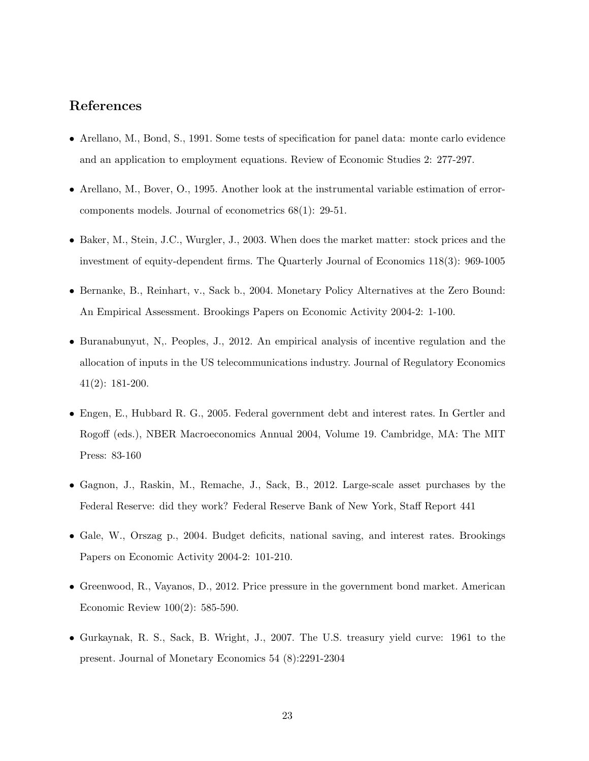#### References

- Arellano, M., Bond, S., 1991. Some tests of specification for panel data: monte carlo evidence and an application to employment equations. Review of Economic Studies 2: 277-297.
- Arellano, M., Bover, O., 1995. Another look at the instrumental variable estimation of errorcomponents models. Journal of econometrics 68(1): 29-51.
- Baker, M., Stein, J.C., Wurgler, J., 2003. When does the market matter: stock prices and the investment of equity-dependent firms. The Quarterly Journal of Economics 118(3): 969-1005
- Bernanke, B., Reinhart, v., Sack b., 2004. Monetary Policy Alternatives at the Zero Bound: An Empirical Assessment. Brookings Papers on Economic Activity 2004-2: 1-100.
- Buranabunyut, N,. Peoples, J., 2012. An empirical analysis of incentive regulation and the allocation of inputs in the US telecommunications industry. Journal of Regulatory Economics 41(2): 181-200.
- Engen, E., Hubbard R. G., 2005. Federal government debt and interest rates. In Gertler and Rogoff (eds.), NBER Macroeconomics Annual 2004, Volume 19. Cambridge, MA: The MIT Press: 83-160
- Gagnon, J., Raskin, M., Remache, J., Sack, B., 2012. Large-scale asset purchases by the Federal Reserve: did they work? Federal Reserve Bank of New York, Staff Report 441
- Gale, W., Orszag p., 2004. Budget deficits, national saving, and interest rates. Brookings Papers on Economic Activity 2004-2: 101-210.
- Greenwood, R., Vayanos, D., 2012. Price pressure in the government bond market. American Economic Review 100(2): 585-590.
- Gurkaynak, R. S., Sack, B. Wright, J., 2007. The U.S. treasury yield curve: 1961 to the present. Journal of Monetary Economics 54 (8):2291-2304